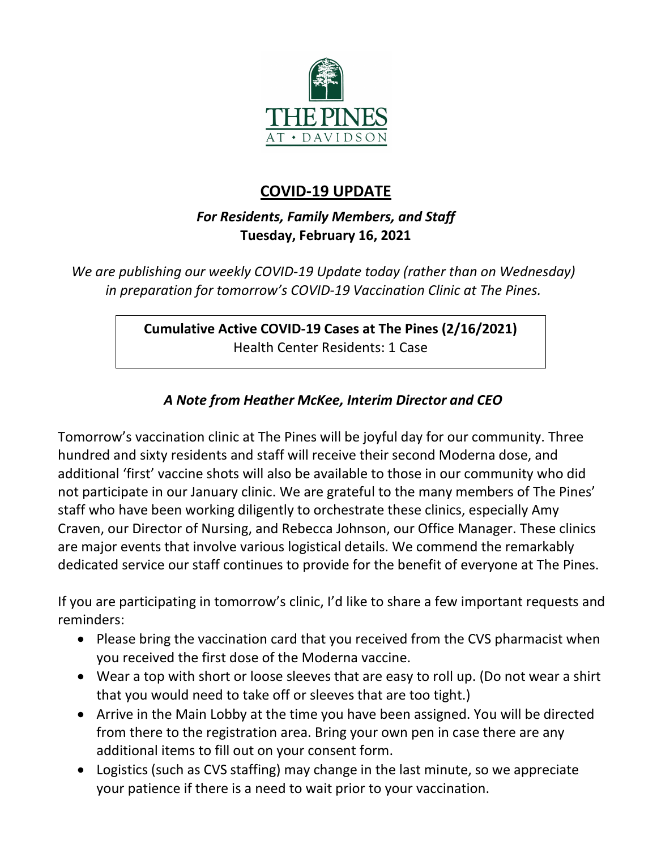

# **COVID-19 UPDATE**

## *For Residents, Family Members, and Staff* **Tuesday, February 16, 2021**

*We are publishing our weekly COVID-19 Update today (rather than on Wednesday) in preparation for tomorrow's COVID-19 Vaccination Clinic at The Pines.*

## **Cumulative Active COVID-19 Cases at The Pines (2/16/2021)** Health Center Residents: 1 Case

## *A Note from Heather McKee, Interim Director and CEO*

Tomorrow's vaccination clinic at The Pines will be joyful day for our community. Three hundred and sixty residents and staff will receive their second Moderna dose, and additional 'first' vaccine shots will also be available to those in our community who did not participate in our January clinic. We are grateful to the many members of The Pines' staff who have been working diligently to orchestrate these clinics, especially Amy Craven, our Director of Nursing, and Rebecca Johnson, our Office Manager. These clinics are major events that involve various logistical details. We commend the remarkably dedicated service our staff continues to provide for the benefit of everyone at The Pines.

If you are participating in tomorrow's clinic, I'd like to share a few important requests and reminders:

- Please bring the vaccination card that you received from the CVS pharmacist when you received the first dose of the Moderna vaccine.
- Wear a top with short or loose sleeves that are easy to roll up. (Do not wear a shirt that you would need to take off or sleeves that are too tight.)
- Arrive in the Main Lobby at the time you have been assigned. You will be directed from there to the registration area. Bring your own pen in case there are any additional items to fill out on your consent form.
- Logistics (such as CVS staffing) may change in the last minute, so we appreciate your patience if there is a need to wait prior to your vaccination.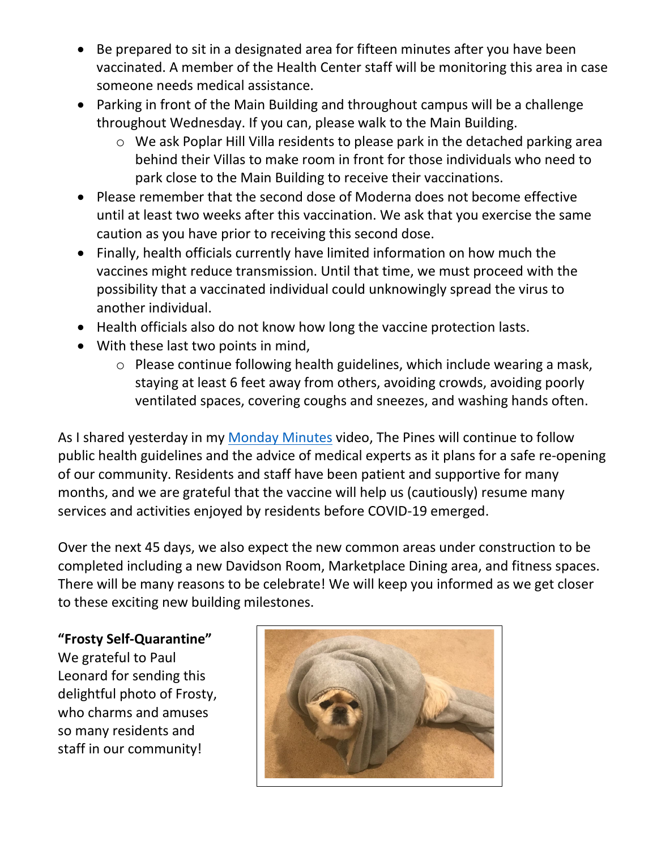- Be prepared to sit in a designated area for fifteen minutes after you have been vaccinated. A member of the Health Center staff will be monitoring this area in case someone needs medical assistance.
- Parking in front of the Main Building and throughout campus will be a challenge throughout Wednesday. If you can, please walk to the Main Building.
	- o We ask Poplar Hill Villa residents to please park in the detached parking area behind their Villas to make room in front for those individuals who need to park close to the Main Building to receive their vaccinations.
- Please remember that the second dose of Moderna does not become effective until at least two weeks after this vaccination. We ask that you exercise the same caution as you have prior to receiving this second dose.
- Finally, health officials currently have limited information on how much the vaccines might reduce transmission. Until that time, we must proceed with the possibility that a vaccinated individual could unknowingly spread the virus to another individual.
- Health officials also do not know how long the vaccine protection lasts.
- With these last two points in mind,
	- o Please continue following health guidelines, which include wearing a mask, staying at least 6 feet away from others, avoiding crowds, avoiding poorly ventilated spaces, covering coughs and sneezes, and washing hands often.

As I shared yesterday in my [Monday Minutes](https://www.youtube.com/watch?v=Lli7Dx_WERE&feature=youtu.be) video, The Pines will continue to follow public health guidelines and the advice of medical experts as it plans for a safe re-opening of our community. Residents and staff have been patient and supportive for many months, and we are grateful that the vaccine will help us (cautiously) resume many services and activities enjoyed by residents before COVID-19 emerged.

Over the next 45 days, we also expect the new common areas under construction to be completed including a new Davidson Room, Marketplace Dining area, and fitness spaces. There will be many reasons to be celebrate! We will keep you informed as we get closer to these exciting new building milestones.

**"Frosty Self-Quarantine"** We grateful to Paul Leonard for sending this delightful photo of Frosty, who charms and amuses so many residents and staff in our community!